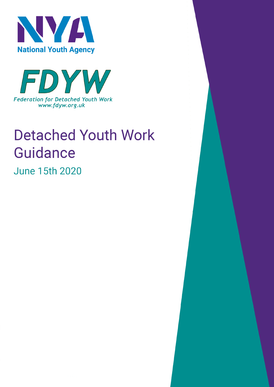



# **Detached Youth Work Guidance**

**June 15th 2020**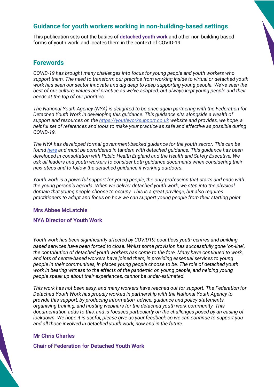## **Guidance for youth workers working in non-building-based settings**

This publication sets out the basics of **detached youth work** and other non-building-based forms of youth work, and locates them in the context of COVID-19.

#### **Forewords**

*COVID-19 has brought many challenges into focus for young people and youth workers who support them. The need to transform our practice from working inside to virtual or detached youth work has seen our sector innovate and dig deep to keep supporting young people. We've seen the best of our culture, values and practice as we've adapted, but always kept young people and their needs at the top of our priorities.*

*The National Youth Agency (NYA) is delighted to be once again partnering with the Federation for Detached Youth Work in developing this guidance. This guidance sits alongside a wealth of support and resources on the https://youthworksupport.co.uk website and provides, we hope, a helpful set of references and tools to make your practice as safe and effective as possible during COVID-19.*

*The NYA has developed formal government-backed guidance for the youth sector. This can be found here and must be considered in tandem with detached guidance. This guidance has been developed in consultation with Public Health England and the Health and Safety Executive. We ask all leaders and youth workers to consider both guidance documents when considering their next steps and to follow the detached guidance if working outdoors.*

*Youth work is a powerful support for young people, the only profession that starts and ends with the young person's agenda. When we deliver detached youth work, we step into the physical domain that young people choose to occupy. This is a great privilege, but also requires practitioners to adapt and focus on how we can support young people from their starting point.*

#### **Mrs Abbee McLatchie**

#### **NYA Director of Youth Work**

*Youth work has been significantly affected by COVID19; countless youth centres and buildingbased services have been forced to close. Whilst some provision has successfully gone* '*on-line*'*, the contribution of detached youth workers has come to the fore. Many have continued to work, and lots of centre-based workers have joined them, in providing essential services to young people in their communities, in places young people choose to be. The role of detached youth work in bearing witness to the effects of the pandemic on young people, and helping young people speak up about their experiences, cannot be under-estimated.*

*This work has not been easy, and many workers have reached out for support. The Federation for Detached Youth Work has proudly worked in partnership with the National Youth Agency to provide this support, by producing information, advice, guidance and policy statements, organising training, and hosting webinars for the detached youth work community. This documentation adds to this, and is focused particularly on the challenges posed by an easing of lockdown. We hope it is useful, please give us your feedback so we can continue to support you and all those involved in detached youth work, now and in the future.*

#### **Mr Chris Charles**

**Chair of Federation for Detached Youth Work**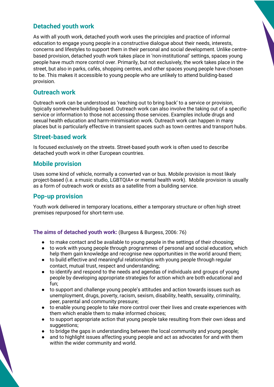## **Detached youth work**

As with all youth work, detached youth work uses the principles and practice of informal education to engage young people in a constructive dialogue about their needs, interests, concerns and lifestyles to support them in their personal and social development. Unlike centrebased provision, detached youth work takes place in 'non-institutional' settings, spaces young people have much more control over. Primarily, but not exclusively, the work takes place in the street, but also in parks, cafés, shopping centres, and other spaces young people have chosen to be. This makes it accessible to young people who are unlikely to attend building-based provision.

## **Outreach work**

Outreach work can be understood as 'reaching out to bring back' to a service or provision, typically somewhere building-based. Outreach work can also involve the taking out of a specific service or information to those not accessing those services. Examples include drugs and sexual health education and harm-minimisation work. Outreach work can happen in many places but is particularly effective in transient spaces such as town centres and transport hubs.

#### **Street-based work**

Is focused exclusively on the streets. Street-based youth work is often used to describe detached youth work in other European countries.

#### **Mobile provision**

Uses some kind of vehicle, normally a converted van or bus. Mobile provision is most likely project-based (i.e. a music studio, LGBTQIA+ or mental health work). Mobile provision is usually as a form of outreach work or exists as a satellite from a building service.

## **Pop-up provision**

Youth work delivered in temporary locations, either a temporary structure or often high street premises repurposed for short-term use.

**The aims of detached youth work:** (Burgess & Burgess, 2006: 76)

- to make contact and be available to young people in the settings of their choosing;
- to work with young people through programmes of personal and social education, which help them gain knowledge and recognise new opportunities in the world around them;
- to build effective and meaningful relationships with young people through regular contact, mutual trust, respect and understanding;
- to identify and respond to the needs and agendas of individuals and groups of young people by developing appropriate strategies for action which are both educational and fun;
- to support and challenge young people's attitudes and action towards issues such as unemployment, drugs, poverty, racism, sexism, disability, health, sexuality, criminality, peer, parental and community pressure;
- to enable young people to take more control over their lives and create experiences with them which enable them to make informed choices;
- to support appropriate action that young people take resulting from their own ideas and suggestions;
- to bridge the gaps in understanding between the local community and young people;
- and to highlight issues affecting young people and act as advocates for and with them within the wider community and world.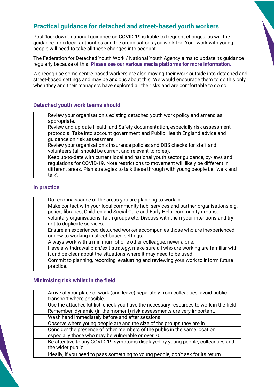## **Practical guidance for detached and street-based youth workers**

Post 'lockdown', national guidance on COVID-19 is liable to frequent changes, as will the guidance from local authorities and the organisations you work for. Your work with young people will need to take all these changes into account.

The Federation for Detached Youth Work / National Youth Agency aims to update its guidance regularly because of this. **Please see our various media platforms for more information.**

We recognise some centre-based workers are also moving their work outside into detached and street-based settings and may be anxious about this. We would encourage them to do this only when they and their managers have explored all the risks and are comfortable to do so.

#### **Detached youth work teams should**

| Review your organisation's existing detached youth work policy and amend as<br>appropriate.                                                                                                                                                                                    |
|--------------------------------------------------------------------------------------------------------------------------------------------------------------------------------------------------------------------------------------------------------------------------------|
| Review and up-date Health and Safety documentation, especially risk assessment<br>protocols. Take into account government and Public Health England advice and<br>guidance on risk assessment.                                                                                 |
| Review your organisation's insurance policies and DBS checks for staff and<br>volunteers (all should be current and relevant to roles).                                                                                                                                        |
| Keep up-to-date with current local and national youth sector guidance, by-laws and<br>regulations for COVID-19. Note restrictions to movement will likely be different in<br>different areas. Plan strategies to talk these through with young people i.e. 'walk and<br>talk'. |

#### **In practice**

| Do reconnaissance of the areas you are planning to work in                                                                                                                                                                                                                                 |
|--------------------------------------------------------------------------------------------------------------------------------------------------------------------------------------------------------------------------------------------------------------------------------------------|
| Make contact with your local community hub, services and partner organisations e.g.<br>police, libraries, Children and Social Care and Early Help, community groups,<br>voluntary organisations, faith groups etc. Discuss with them your intentions and try<br>not to duplicate services. |
| Ensure an experienced detached worker accompanies those who are inexperienced<br>or new to working in street-based settings.                                                                                                                                                               |
| Always work with a minimum of one other colleague, never alone.                                                                                                                                                                                                                            |
| Have a withdrawal plan/exit strategy, make sure all who are working are familiar with<br>it and be clear about the situations where it may need to be used.                                                                                                                                |
| Commit to planning, recording, evaluating and reviewing your work to inform future<br>practice.                                                                                                                                                                                            |

#### **Minimising risk whilst in the field**

| Arrive at your place of work (and leave) separately from colleagues, avoid public       |
|-----------------------------------------------------------------------------------------|
| transport where possible.                                                               |
| Use the attached kit list; check you have the necessary resources to work in the field. |
| Remember, dynamic (in the moment) risk assessments are very important.                  |
| Wash hand immediately before and after sessions.                                        |
| Observe where young people are and the size of the groups they are in.                  |
| Consider the presence of other members of the public in the same location,              |
| especially those who may be vulnerable or over 70.                                      |
| Be attentive to any COVID-19 symptoms displayed by young people, colleagues and         |
| the wider public.                                                                       |
| Ideally, if you need to pass something to young people, don't ask for its return.       |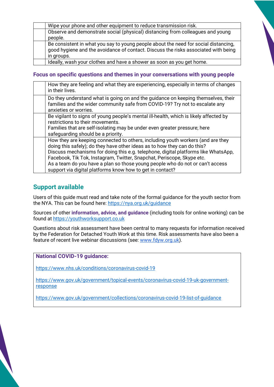| Wipe your phone and other equipment to reduce transmission risk.                                                                                                                        |
|-----------------------------------------------------------------------------------------------------------------------------------------------------------------------------------------|
| Observe and demonstrate social (physical) distancing from colleagues and young                                                                                                          |
| people.                                                                                                                                                                                 |
| Be consistent in what you say to young people about the need for social distancing,<br>good hygiene and the avoidance of contact. Discuss the risks associated with being<br>in groups. |
| Ideally, wash your clothes and have a shower as soon as you get home.                                                                                                                   |

#### **Focus on specific questions and themes in your conversations with young people**

| How they are feeling and what they are experiencing, especially in terms of changes<br>in their lives.                                                                                                                                                                                                                                                                                                                                                                    |
|---------------------------------------------------------------------------------------------------------------------------------------------------------------------------------------------------------------------------------------------------------------------------------------------------------------------------------------------------------------------------------------------------------------------------------------------------------------------------|
| Do they understand what is going on and the guidance on keeping themselves, their<br>families and the wider community safe from COVID-19? Try not to escalate any<br>anxieties or worries.                                                                                                                                                                                                                                                                                |
| Be vigilant to signs of young people's mental ill-health, which is likely affected by<br>restrictions to their movements.<br>Families that are self-isolating may be under even greater pressure; here<br>safeguarding should be a priority.                                                                                                                                                                                                                              |
| How they are keeping connected to others, including youth workers (and are they<br>doing this safely); do they have other ideas as to how they can do this?<br>Discuss mechanisms for doing this e.g. telephone, digital platforms like WhatsApp,<br>Facebook, Tik Tok, Instagram, Twitter, Snapchat, Periscope, Skype etc.<br>As a team do you have a plan so those young people who do not or can't access<br>support via digital platforms know how to get in contact? |

## **Support available**

Users of this guide must read and take note of the formal guidance for the youth sector from the NYA. This can be found here: https://nya.org.uk/guidance

Sources of other **information, advice, and guidance** (including tools for online working) can be found at https://youthworksupport.co.uk

Questions about risk assessment have been central to many requests for information received by the Federation for Detached Youth Work at this time. Risk assessments have also been a feature of recent live webinar discussions (see: www.fdyw.org.uk).

#### **National COVID-19 guidance:**

https://www.nhs.uk/conditions/coronavirus-covid-19

https://www.gov.uk/government/topical-events/coronavirus-covid-19-uk-governmentresponse

https://www.gov.uk/government/collections/coronavirus-covid-19-list-of-guidance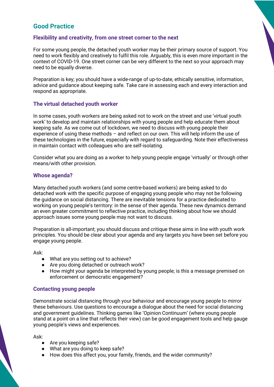## **Good Practice**

#### **Flexibility and creativity, from one street corner to the next**

For some young people, the detached youth worker may be their primary source of support. You need to work flexibly and creatively to fulfil this role. Arguably, this is even more important in the context of COVID-19. One street corner can be very different to the next so your approach may need to be equally diverse.

Preparation is key; you should have a wide-range of up-to-date, ethically sensitive, information, advice and guidance about keeping safe. Take care in assessing each and every interaction and respond as appropriate.

#### **The virtual detached youth worker**

In some cases, youth workers are being asked not to work on the street and use 'virtual youth work' to develop and maintain relationships with young people and help educate them about keeping safe. As we come out of lockdown, we need to discuss with young people their experience of using these methods – and reflect on our own. This will help inform the use of these technologies in the future, especially with regard to safeguarding. Note their effectiveness in maintain contact with colleagues who are self-isolating.

Consider what you are doing as a worker to help young people engage 'virtually' or through other means/with other provision.

#### **Whose agenda?**

Many detached youth workers (and some centre-based workers) are being asked to do detached work with the specific purpose of engaging young people who may not be following the guidance on social distancing. There are inevitable tensions for a practice dedicated to working on young people's territory: in the sense of their agenda. These new dynamics demand an even greater commitment to reflective practice, including thinking about how we should approach issues some young people may not want to discuss.

Preparation is all-important; you should discuss and critique these aims in line with youth work principles. You should be clear about your agenda and any targets you have been set before you engage young people.

Ask:

- What are you setting out to achieve?
- Are you doing detached or outreach work?
- How might your agenda be interpreted by young people; is this a message premised on enforcement or democratic engagement?

#### **Contacting young people**

Demonstrate social distancing through your behaviour and encourage young people to mirror these behaviours. Use questions to encourage a dialogue about the need for social distancing and government guidelines. Thinking games like 'Opinion Continuum' (where young people stand at a point on a line that reflects their view) can be good engagement tools and help gauge young people's views and experiences.

Ask:

- Are you keeping safe?
- What are you doing to keep safe?
- How does this affect you, your family, friends, and the wider community?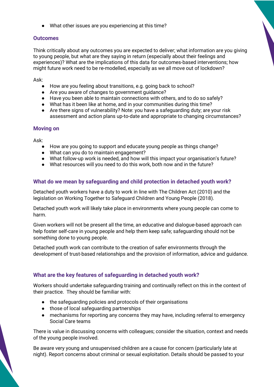● What other issues are you experiencing at this time?

#### **Outcomes**

Think critically about any outcomes you are expected to deliver; what information are you giving to young people, but what are they saying in return (especially about their feelings and experiences)? What are the implications of this data for outcomes-based interventions; how might future work need to be re-modelled, especially as we all move out of lockdown?

Ask:

- How are you feeling about transitions, e.g. going back to school?
- Are you aware of changes to government guidance?
- Have you been able to maintain connections with others, and to do so safely?
- What has it been like at home, and in your communities during this time?
- Are there signs of vulnerability? Note: you have a safeguarding duty: are your risk assessment and action plans up-to-date and appropriate to changing circumstances?

#### **Moving on**

Ask:

- How are you going to support and educate young people as things change?
- What can you do to maintain engagement?
- What follow-up work is needed, and how will this impact your organisation's future?
- What resources will you need to do this work, both now and in the future?

#### **What do we mean by safeguarding and child protection in detached youth work?**

Detached youth workers have a duty to work in line with The Children Act (2010) and the legislation on Working Together to Safeguard Children and Young People (2018).

Detached youth work will likely take place in environments where young people can come to harm.

Given workers will not be present all the time, an educative and dialogue-based approach can help foster self-care in young people and help them keep safe; safeguarding should not be something done to young people.

Detached youth work can contribute to the creation of safer environments through the development of trust-based relationships and the provision of information, advice and guidance.

#### **What are the key features of safeguarding in detached youth work?**

Workers should undertake safeguarding training and continually reflect on this in the context of their practice. They should be familiar with:

- the safeguarding policies and protocols of their organisations
- those of local safeguarding partnerships
- mechanisms for reporting any concerns they may have, including referral to emergency Social Care teams

There is value in discussing concerns with colleagues; consider the situation, context and needs of the young people involved.

Be aware very young and unsupervised children are a cause for concern (particularly late at night). Report concerns about criminal or sexual exploitation. Details should be passed to your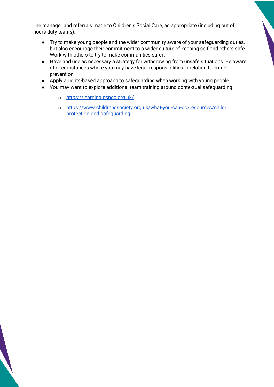line manager and referrals made to Children's Social Care, as appropriate (including out of hours duty teams).

- Try to make young people and the wider community aware of your safeguarding duties, but also encourage their commitment to a wider culture of keeping self and others safe. Work with others to try to make communities safer.
- Have and use as necessary a strategy for withdrawing from unsafe situations. Be aware of circumstances where you may have legal responsibilities in relation to crime prevention.
- Apply a rights-based approach to safeguarding when working with young people.
- You may want to explore additional team training around contextual safeguarding:
	- o https://learning.nspcc.org.uk/
	- o https://www.childrenssociety.org.uk/what-you-can-do/resources/childprotection-and-safeguarding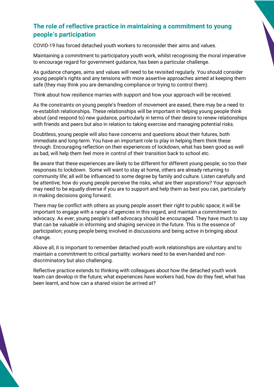## **The role of reflective practice in maintaining a commitment to young people's participation**

COVID-19 has forced detached youth workers to reconsider their aims and values.

Maintaining a commitment to participatory youth work, whilst recognising the moral imperative to encourage regard for government guidance, has been a particular challenge.

As guidance changes, aims and values will need to be revisited regularly. You should consider young people's rights and any tensions with more assertive approaches aimed at keeping them safe (they may think you are demanding compliance or trying to control them).

Think about how resilience marries with support and how your approach will be received.

As the constraints on young people's freedom of movement are eased, there may be a need to re-establish relationships. These relationships will be important in helping young people think about (and respond to) new guidance, particularly in terms of their desire to renew relationships with friends and peers but also in relation to taking exercise and managing potential risks.

Doubtless, young people will also have concerns and questions about their futures, both immediate and long-term. You have an important role to play in helping them think these through. Encouraging reflection on their experiences of lockdown, what has been good as well as bad, will help them feel more in control of their transition back to school etc.

Be aware that these experiences are likely to be different for different young people; so too their responses to lockdown. Some will want to stay at home, others are already returning to community life; all will be influenced to some degree by family and culture. Listen carefully and be attentive; how do young people perceive the risks, what are their aspirations? Your approach may need to be equally diverse if you are to support and help them as best you can, particularly in making decisions going forward.

There may be conflict with others as young people assert their right to public space; it will be important to engage with a range of agencies in this regard, and maintain a commitment to advocacy. As ever, young people's self-advocacy should be encouraged. They have much to say that can be valuable in informing and shaping services in the future. This is the essence of participation; young people being involved in discussions and being active in bringing about change.

Above all, it is important to remember detached youth work relationships are voluntary and to maintain a commitment to critical partiality: workers need to be even-handed and nondiscriminatory but also challenging.

Reflective practice extends to thinking with colleagues about how the detached youth work team can develop in the future; what experiences have workers had, how do they feel, what has been learnt, and how can a shared vision be arrived at?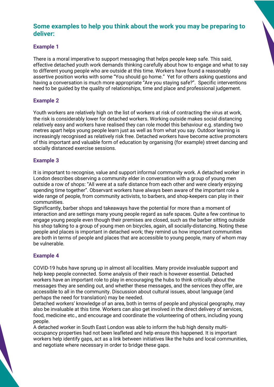## **Some examples to help you think about the work you may be preparing to deliver:**

#### **Example 1**

There is a moral imperative to support messaging that helps people keep safe. This said, effective detached youth work demands thinking carefully about how to engage and what to say to different young people who are outside at this time. Workers have found a reasonably assertive position works with some "You should go home." Yet for others asking questions and having a conversation is much more appropriate "Are you staying safe?". Specific interventions need to be guided by the quality of relationships, time and place and professional judgement.

#### **Example 2**

Youth workers are relatively high on the list of workers at risk of contracting the virus at work, the risk is considerably lower for detached workers. Working outside makes social distancing relatively easy and workers have realised they can role model this behaviour e.g. standing two metres apart helps young people learn just as well as from what you say. Outdoor learning is increasingly recognised as relatively risk free. Detached workers have become active promoters of this important and valuable form of education by organising (for example) street dancing and socially distanced exercise sessions.

#### **Example 3**

It is important to recognise, value and support informal community work. A detached worker in London describes observing a community elder in conversation with a group of young men outside a row of shops: "All were at a safe distance from each other and were clearly enjoying spending time together". Observant workers have always been aware of the important role a wide range of people, from community activists, to barbers, and shop-keepers can play in their communities.

Significantly, barber shops and takeaways have the potential for more than a moment of interaction and are settings many young people regard as safe spaces. Quite a few continue to engage young people even though their premises are closed, such as the barber sitting outside his shop talking to a group of young men on bicycles, again, all socially-distancing. Noting these people and places is important in detached work; they remind us how important communities are both in terms of people and places that are accessible to young people, many of whom may be vulnerable.

#### **Example 4**

COVID-19 hubs have sprung up in almost all localities. Many provide invaluable support and help keep people connected. Some analysis of their reach is however essential. Detached workers have an important role to play in encouraging the hubs to think critically about the messages they are sending out, and whether these messages, and the services they offer, are accessible to all in the community. Discussion about cultural issues, about language (and perhaps the need for translation) may be needed.

Detached workers' knowledge of an area, both in terms of people and physical geography, may also be invaluable at this time. Workers can also get involved in the direct delivery of services, food, medicine etc., and encourage and coordinate the volunteering of others, including young people.

A detached worker in South East London was able to inform the hub high density multioccupancy properties had not been leafleted and help ensure this happened. It is important workers help identify gaps, act as a link between initiatives like the hubs and local communities, and negotiate where necessary in order to bridge these gaps.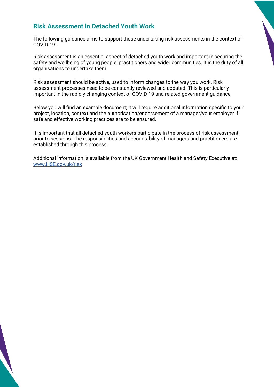## **Risk Assessment in Detached Youth Work**

The following guidance aims to support those undertaking risk assessments in the context of COVID-19.

Risk assessment is an essential aspect of detached youth work and important in securing the safety and wellbeing of young people, practitioners and wider communities. It is the duty of all organisations to undertake them.

Risk assessment should be active, used to inform changes to the way you work. Risk assessment processes need to be constantly reviewed and updated. This is particularly important in the rapidly changing context of COVID-19 and related government guidance.

Below you will find an example document; it will require additional information specific to your project, location, context and the authorisation/endorsement of a manager/your employer if safe and effective working practices are to be ensured.

It is important that all detached youth workers participate in the process of risk assessment prior to sessions. The responsibilities and accountability of managers and practitioners are established through this process.

Additional information is available from the UK Government Health and Safety Executive at: www.HSE.gov.uk/risk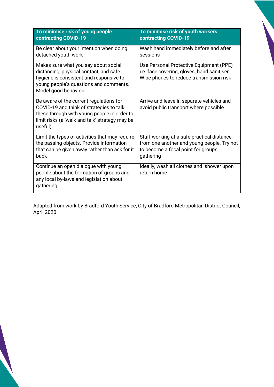| To minimise risk of young people                                                                                                                                                                | To minimise risk of youth workers                                                                                                 |
|-------------------------------------------------------------------------------------------------------------------------------------------------------------------------------------------------|-----------------------------------------------------------------------------------------------------------------------------------|
| contracting COVID-19                                                                                                                                                                            | contracting COVID-19                                                                                                              |
| Be clear about your intention when doing                                                                                                                                                        | Wash hand immediately before and after                                                                                            |
| detached youth work                                                                                                                                                                             | sessions                                                                                                                          |
| Makes sure what you say about social<br>distancing, physical contact, and safe<br>hygiene is consistent and responsive to<br>young people's questions and comments.<br>Model good behaviour     | Use Personal Protective Equipment (PPE)<br>i.e. face covering, gloves, hand sanitiser.<br>Wipe phones to reduce transmission risk |
| Be aware of the current regulations for<br>COVID-19 and think of strategies to talk<br>these through with young people in order to<br>limit risks (a 'walk and talk' strategy may be<br>useful) | Arrive and leave in separate vehicles and<br>avoid public transport where possible                                                |
| Limit the types of activities that may require                                                                                                                                                  | Staff working at a safe practical distance                                                                                        |
| the passing objects. Provide information                                                                                                                                                        | from one another and young people. Try not                                                                                        |
| that can be given away rather than ask for it                                                                                                                                                   | to become a focal point for groups                                                                                                |
| back                                                                                                                                                                                            | gathering                                                                                                                         |
| Continue an open dialogue with young<br>people about the formation of groups and<br>any local by-laws and legislation about<br>gathering                                                        | Ideally, wash all clothes and shower upon<br>return home                                                                          |

Adapted from work by Bradford Youth Service, City of Bradford Metropolitan District Council, April 2020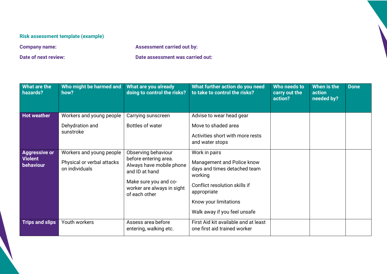## **Risk assessment template (example)**

**Company name: Assessment carried out by:** 

**Date of next review: Date assessment was carried out:** 

| What are the<br>hazards?                            | Who might be harmed and<br>how?                                          | What are you already<br>doing to control the risks?                                                                                                                | What further action do you need<br>to take to control the risks?                                                                                                                                | Who needs to<br>carry out the<br>action? | When is the<br>action<br>needed by? | <b>Done</b> |
|-----------------------------------------------------|--------------------------------------------------------------------------|--------------------------------------------------------------------------------------------------------------------------------------------------------------------|-------------------------------------------------------------------------------------------------------------------------------------------------------------------------------------------------|------------------------------------------|-------------------------------------|-------------|
| <b>Hot weather</b>                                  | Workers and young people<br>Dehydration and<br>sunstroke                 | Carrying sunscreen<br>Bottles of water                                                                                                                             | Advise to wear head gear<br>Move to shaded area<br>Activities short with more rests                                                                                                             |                                          |                                     |             |
|                                                     |                                                                          |                                                                                                                                                                    | and water stops                                                                                                                                                                                 |                                          |                                     |             |
| <b>Aggressive or</b><br><b>Violent</b><br>behaviour | Workers and young people<br>Physical or verbal attacks<br>on individuals | Observing behaviour<br>before entering area.<br>Always have mobile phone<br>and ID at hand<br>Make sure you and co-<br>worker are always in sight<br>of each other | Work in pairs<br>Management and Police know<br>days and times detached team<br>working<br>Conflict resolution skills if<br>appropriate<br>Know your limitations<br>Walk away if you feel unsafe |                                          |                                     |             |
| <b>Trips and slips</b>                              | Youth workers                                                            | Assess area before<br>entering, walking etc.                                                                                                                       | First Aid kit available and at least<br>one first aid trained worker                                                                                                                            |                                          |                                     |             |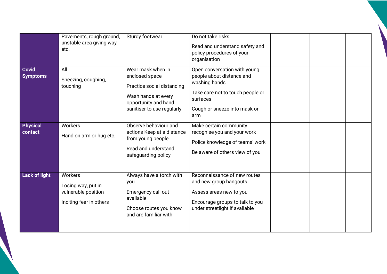| <b>Covid</b><br><b>Symptoms</b><br><b>Physical</b><br>contact | Pavements, rough ground,<br>unstable area giving way<br>etc.<br>All<br>Sneezing, coughing,<br>touching<br>Workers<br>Hand on arm or hug etc. | Sturdy footwear<br>Wear mask when in<br>enclosed space<br>Practice social distancing<br>Wash hands at every<br>opportunity and hand<br>sanitiser to use regularly<br>Observe behaviour and<br>actions Keep at a distance<br>from young people<br>Read and understand<br>safeguarding policy | Do not take risks<br>Read and understand safety and<br>policy procedures of your<br>organisation<br>Open conversation with young<br>people about distance and<br>washing hands<br>Take care not to touch people or<br>surfaces<br>Cough or sneeze into mask or<br>arm<br>Make certain community<br>recognise you and your work<br>Police knowledge of teams' work<br>Be aware of others view of you |  |  |
|---------------------------------------------------------------|----------------------------------------------------------------------------------------------------------------------------------------------|---------------------------------------------------------------------------------------------------------------------------------------------------------------------------------------------------------------------------------------------------------------------------------------------|-----------------------------------------------------------------------------------------------------------------------------------------------------------------------------------------------------------------------------------------------------------------------------------------------------------------------------------------------------------------------------------------------------|--|--|
| <b>Lack of light</b>                                          | Workers<br>Losing way, put in<br>vulnerable position<br>Inciting fear in others                                                              | Always have a torch with<br>you<br>Emergency call out<br>available<br>Choose routes you know<br>and are familiar with                                                                                                                                                                       | Reconnaissance of new routes<br>and new group hangouts<br>Assess areas new to you<br>Encourage groups to talk to you<br>under streetlight if available                                                                                                                                                                                                                                              |  |  |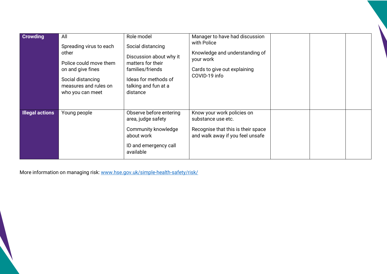| <b>Crowding</b>        | All<br>Spreading virus to each<br>other<br>Police could move them<br>on and give fines<br>Social distancing<br>measures and rules on<br>who you can meet | Role model<br>Social distancing<br>Discussion about why it<br>matters for their<br>families/friends<br>Ideas for methods of<br>talking and fun at a<br>distance | Manager to have had discussion<br>with Police<br>Knowledge and understanding of<br>your work<br>Cards to give out explaining<br>COVID-19 info |  |  |
|------------------------|----------------------------------------------------------------------------------------------------------------------------------------------------------|-----------------------------------------------------------------------------------------------------------------------------------------------------------------|-----------------------------------------------------------------------------------------------------------------------------------------------|--|--|
| <b>Illegal actions</b> | Young people                                                                                                                                             | Observe before entering<br>area, judge safety<br>Community knowledge<br>about work<br>ID and emergency call<br>available                                        | Know your work policies on<br>substance use etc.<br>Recognise that this is their space<br>and walk away if you feel unsafe                    |  |  |

More information on managing risk: www.hse.gov.uk/simple-health-safety/risk/